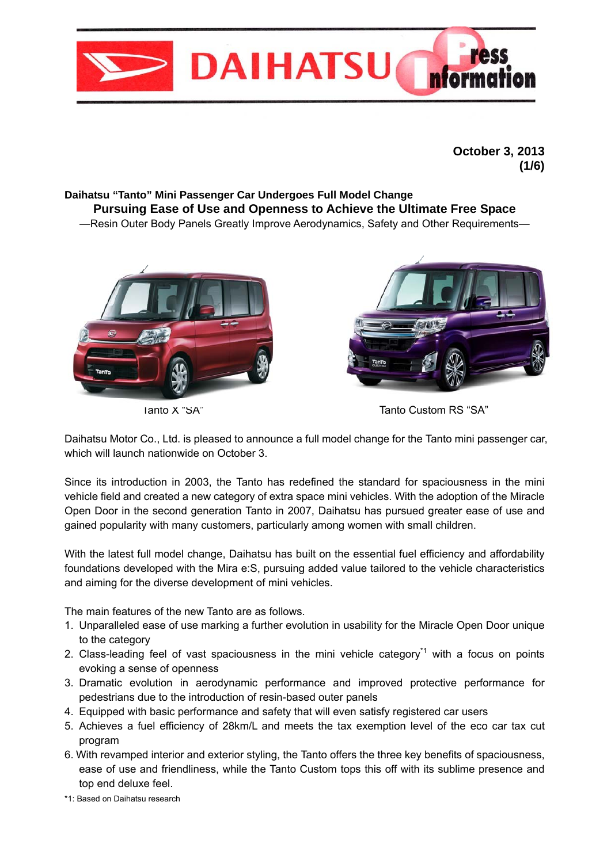

**October 3, 2013 (1/6)** 

### **Daihatsu "Tanto" Mini Passenger Car Undergoes Full Model Change Pursuing Ease of Use and Openness to Achieve the Ultimate Free Space** —Resin Outer Body Panels Greatly Improve Aerodynamics, Safety and Other Requirements—





Tanto X "SA" Tanto Custom RS "SA"

Daihatsu Motor Co., Ltd. is pleased to announce a full model change for the Tanto mini passenger car, which will launch nationwide on October 3.

Since its introduction in 2003, the Tanto has redefined the standard for spaciousness in the mini vehicle field and created a new category of extra space mini vehicles. With the adoption of the Miracle Open Door in the second generation Tanto in 2007, Daihatsu has pursued greater ease of use and gained popularity with many customers, particularly among women with small children.

With the latest full model change, Daihatsu has built on the essential fuel efficiency and affordability foundations developed with the Mira e:S, pursuing added value tailored to the vehicle characteristics and aiming for the diverse development of mini vehicles.

The main features of the new Tanto are as follows.

- 1. Unparalleled ease of use marking a further evolution in usability for the Miracle Open Door unique to the category
- 2. Class-leading feel of vast spaciousness in the mini vehicle category<sup> $<sup>1</sup>$ </sup> with a focus on points</sup> evoking a sense of openness
- 3. Dramatic evolution in aerodynamic performance and improved protective performance for pedestrians due to the introduction of resin-based outer panels
- 4. Equipped with basic performance and safety that will even satisfy registered car users
- 5. Achieves a fuel efficiency of 28km/L and meets the tax exemption level of the eco car tax cut program
- 6. With revamped interior and exterior styling, the Tanto offers the three key benefits of spaciousness, ease of use and friendliness, while the Tanto Custom tops this off with its sublime presence and top end deluxe feel.

\*1: Based on Daihatsu research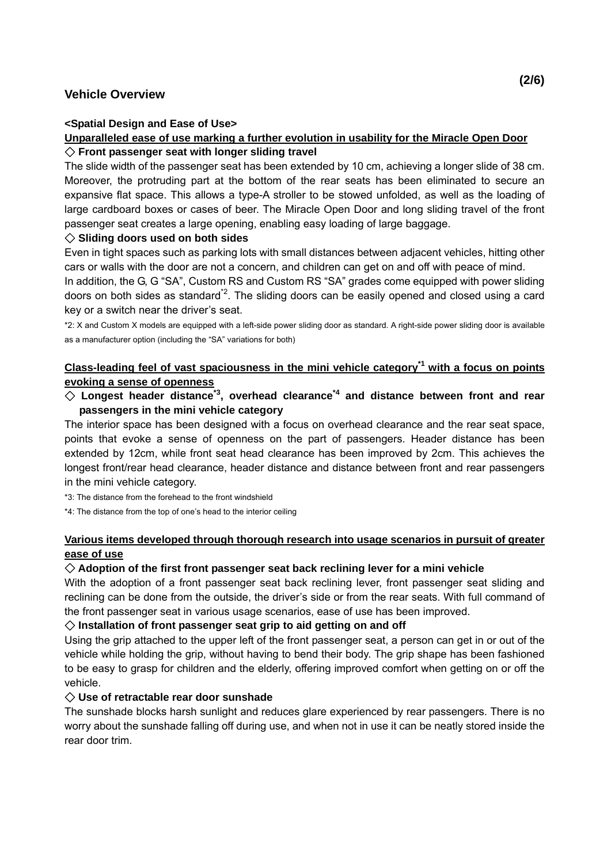## **Vehicle Overview**

#### **<Spatial Design and Ease of Use>**

#### **Unparalleled ease of use marking a further evolution in usability for the Miracle Open Door** ◇ **Front passenger seat with longer sliding travel**

The slide width of the passenger seat has been extended by 10 cm, achieving a longer slide of 38 cm. Moreover, the protruding part at the bottom of the rear seats has been eliminated to secure an expansive flat space. This allows a type-A stroller to be stowed unfolded, as well as the loading of large cardboard boxes or cases of beer. The Miracle Open Door and long sliding travel of the front passenger seat creates a large opening, enabling easy loading of large baggage.

#### ◇ **Sliding doors used on both sides**

Even in tight spaces such as parking lots with small distances between adjacent vehicles, hitting other cars or walls with the door are not a concern, and children can get on and off with peace of mind.

In addition, the G, G "SA", Custom RS and Custom RS "SA" grades come equipped with power sliding doors on both sides as standard<sup> $2$ </sup>. The sliding doors can be easily opened and closed using a card key or a switch near the driver's seat.

\*2: X and Custom X models are equipped with a left-side power sliding door as standard. A right-side power sliding door is available as a manufacturer option (including the "SA" variations for both)

# Class-leading feel of vast spaciousness in the mini vehicle category<sup>\*1</sup> with a focus on points **evoking a sense of openness**

# $\diamondsuit$  Longest header distance<sup>\*3</sup>, overhead clearance<sup>\*4</sup> and distance between front and rear **passengers in the mini vehicle category**

The interior space has been designed with a focus on overhead clearance and the rear seat space, points that evoke a sense of openness on the part of passengers. Header distance has been extended by 12cm, while front seat head clearance has been improved by 2cm. This achieves the longest front/rear head clearance, header distance and distance between front and rear passengers in the mini vehicle category.

\*3: The distance from the forehead to the front windshield

\*4: The distance from the top of one's head to the interior ceiling

## **Various items developed through thorough research into usage scenarios in pursuit of greater ease of use**

#### ◇ **Adoption of the first front passenger seat back reclining lever for a mini vehicle**

With the adoption of a front passenger seat back reclining lever, front passenger seat sliding and reclining can be done from the outside, the driver's side or from the rear seats. With full command of the front passenger seat in various usage scenarios, ease of use has been improved.

#### ◇ **Installation of front passenger seat grip to aid getting on and off**

Using the grip attached to the upper left of the front passenger seat, a person can get in or out of the vehicle while holding the grip, without having to bend their body. The grip shape has been fashioned to be easy to grasp for children and the elderly, offering improved comfort when getting on or off the vehicle.

#### ◇ **Use of retractable rear door sunshade**

The sunshade blocks harsh sunlight and reduces glare experienced by rear passengers. There is no worry about the sunshade falling off during use, and when not in use it can be neatly stored inside the rear door trim.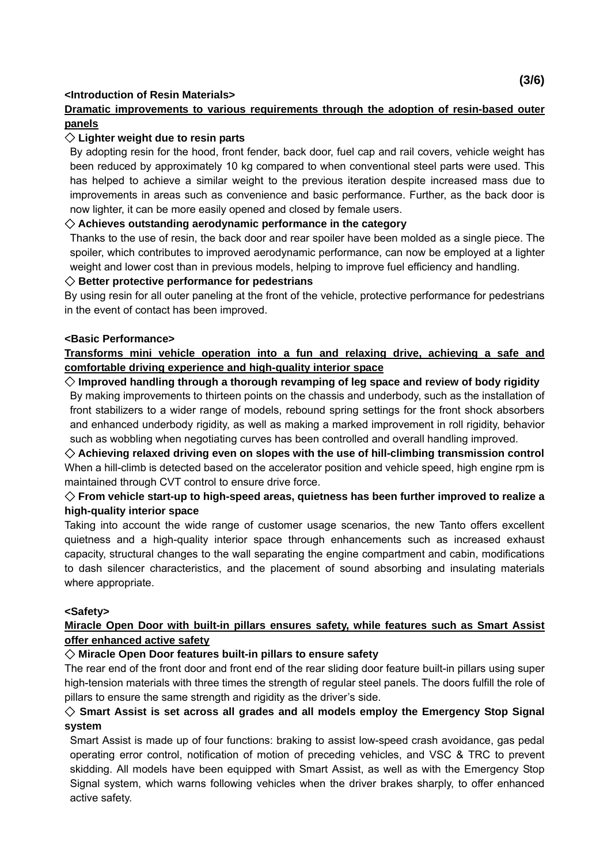## **<Introduction of Resin Materials>**

# **Dramatic improvements to various requirements through the adoption of resin-based outer panels**

# ◇ **Lighter weight due to resin parts**

By adopting resin for the hood, front fender, back door, fuel cap and rail covers, vehicle weight has been reduced by approximately 10 kg compared to when conventional steel parts were used. This has helped to achieve a similar weight to the previous iteration despite increased mass due to improvements in areas such as convenience and basic performance. Further, as the back door is now lighter, it can be more easily opened and closed by female users.

# ◇ **Achieves outstanding aerodynamic performance in the category**

Thanks to the use of resin, the back door and rear spoiler have been molded as a single piece. The spoiler, which contributes to improved aerodynamic performance, can now be employed at a lighter weight and lower cost than in previous models, helping to improve fuel efficiency and handling.

# ◇ **Better protective performance for pedestrians**

By using resin for all outer paneling at the front of the vehicle, protective performance for pedestrians in the event of contact has been improved.

## **<Basic Performance>**

# **Transforms mini vehicle operation into a fun and relaxing drive, achieving a safe and comfortable driving experience and high-quality interior space**

◇ **Improved handling through a thorough revamping of leg space and review of body rigidity**  By making improvements to thirteen points on the chassis and underbody, such as the installation of front stabilizers to a wider range of models, rebound spring settings for the front shock absorbers and enhanced underbody rigidity, as well as making a marked improvement in roll rigidity, behavior such as wobbling when negotiating curves has been controlled and overall handling improved.

◇ **Achieving relaxed driving even on slopes with the use of hill-climbing transmission control**  When a hill-climb is detected based on the accelerator position and vehicle speed, high engine rpm is maintained through CVT control to ensure drive force.

# $\diamondsuit$  From vehicle start-up to high-speed areas, quietness has been further improved to realize a **high-quality interior space**

Taking into account the wide range of customer usage scenarios, the new Tanto offers excellent quietness and a high-quality interior space through enhancements such as increased exhaust capacity, structural changes to the wall separating the engine compartment and cabin, modifications to dash silencer characteristics, and the placement of sound absorbing and insulating materials where appropriate.

# **<Safety>**

# **Miracle Open Door with built-in pillars ensures safety, while features such as Smart Assist offer enhanced active safety**

# ◇ **Miracle Open Door features built-in pillars to ensure safety**

The rear end of the front door and front end of the rear sliding door feature built-in pillars using super high-tension materials with three times the strength of regular steel panels. The doors fulfill the role of pillars to ensure the same strength and rigidity as the driver's side.

# ◇ **Smart Assist is set across all grades and all models employ the Emergency Stop Signal system**

Smart Assist is made up of four functions: braking to assist low-speed crash avoidance, gas pedal operating error control, notification of motion of preceding vehicles, and VSC & TRC to prevent skidding. All models have been equipped with Smart Assist, as well as with the Emergency Stop Signal system, which warns following vehicles when the driver brakes sharply, to offer enhanced active safety.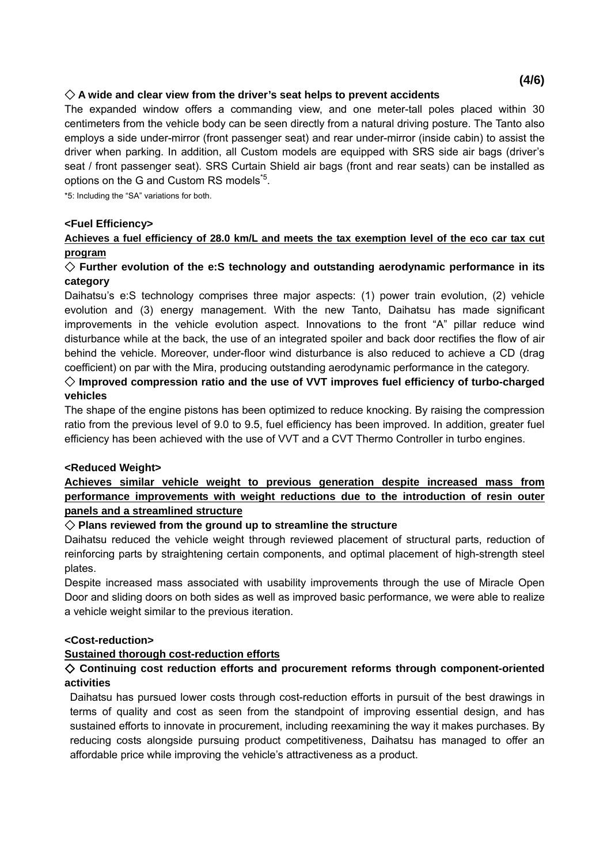## ◇ **A wide and clear view from the driver's seat helps to prevent accidents**

The expanded window offers a commanding view, and one meter-tall poles placed within 30 centimeters from the vehicle body can be seen directly from a natural driving posture. The Tanto also employs a side under-mirror (front passenger seat) and rear under-mirror (inside cabin) to assist the driver when parking. In addition, all Custom models are equipped with SRS side air bags (driver's seat / front passenger seat). SRS Curtain Shield air bags (front and rear seats) can be installed as options on the G and Custom RS models<sup>5</sup>.

\*5: Including the "SA" variations for both.

#### **<Fuel Efficiency>**

## **Achieves a fuel efficiency of 28.0 km/L and meets the tax exemption level of the eco car tax cut program**

#### ◇ **Further evolution of the e:S technology and outstanding aerodynamic performance in its category**

Daihatsu's e:S technology comprises three major aspects: (1) power train evolution, (2) vehicle evolution and (3) energy management. With the new Tanto, Daihatsu has made significant improvements in the vehicle evolution aspect. Innovations to the front "A" pillar reduce wind disturbance while at the back, the use of an integrated spoiler and back door rectifies the flow of air behind the vehicle. Moreover, under-floor wind disturbance is also reduced to achieve a CD (drag coefficient) on par with the Mira, producing outstanding aerodynamic performance in the category.

## ◇ **Improved compression ratio and the use of VVT improves fuel efficiency of turbo-charged vehicles**

The shape of the engine pistons has been optimized to reduce knocking. By raising the compression ratio from the previous level of 9.0 to 9.5, fuel efficiency has been improved. In addition, greater fuel efficiency has been achieved with the use of VVT and a CVT Thermo Controller in turbo engines.

#### **<Reduced Weight>**

## **Achieves similar vehicle weight to previous generation despite increased mass from performance improvements with weight reductions due to the introduction of resin outer panels and a streamlined structure**

## ◇ **Plans reviewed from the ground up to streamline the structure**

Daihatsu reduced the vehicle weight through reviewed placement of structural parts, reduction of reinforcing parts by straightening certain components, and optimal placement of high-strength steel plates.

Despite increased mass associated with usability improvements through the use of Miracle Open Door and sliding doors on both sides as well as improved basic performance, we were able to realize a vehicle weight similar to the previous iteration.

#### **<Cost-reduction>**

## **Sustained thorough cost-reduction efforts**

## ◇ **Continuing cost reduction efforts and procurement reforms through component-oriented activities**

Daihatsu has pursued lower costs through cost-reduction efforts in pursuit of the best drawings in terms of quality and cost as seen from the standpoint of improving essential design, and has sustained efforts to innovate in procurement, including reexamining the way it makes purchases. By reducing costs alongside pursuing product competitiveness, Daihatsu has managed to offer an affordable price while improving the vehicle's attractiveness as a product.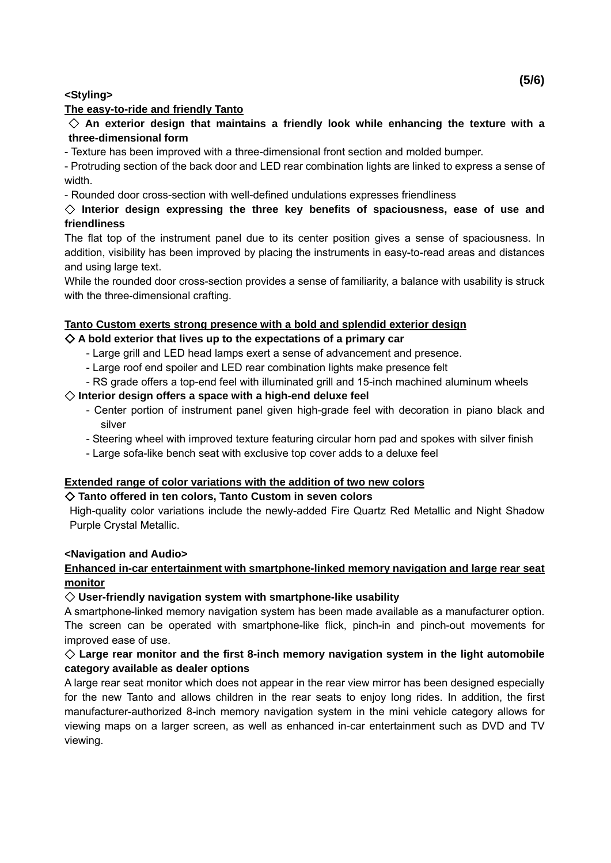#### **<Styling>**

#### **The easy-to-ride and friendly Tanto**

◇ **An exterior design that maintains a friendly look while enhancing the texture with a three-dimensional form** 

- Texture has been improved with a three-dimensional front section and molded bumper.

- Protruding section of the back door and LED rear combination lights are linked to express a sense of width.

- Rounded door cross-section with well-defined undulations expresses friendliness

## ◇ **Interior design expressing the three key benefits of spaciousness, ease of use and friendliness**

The flat top of the instrument panel due to its center position gives a sense of spaciousness. In addition, visibility has been improved by placing the instruments in easy-to-read areas and distances and using large text.

While the rounded door cross-section provides a sense of familiarity, a balance with usability is struck with the three-dimensional crafting.

## **Tanto Custom exerts strong presence with a bold and splendid exterior design**

## ◇ **A bold exterior that lives up to the expectations of a primary car**

- Large grill and LED head lamps exert a sense of advancement and presence.
- Large roof end spoiler and LED rear combination lights make presence felt
- RS grade offers a top-end feel with illuminated grill and 15-inch machined aluminum wheels

#### ◇ **Interior design offers a space with a high-end deluxe feel**

- Center portion of instrument panel given high-grade feel with decoration in piano black and silver
- Steering wheel with improved texture featuring circular horn pad and spokes with silver finish
- Large sofa-like bench seat with exclusive top cover adds to a deluxe feel

#### **Extended range of color variations with the addition of two new colors**

#### ◇ **Tanto offered in ten colors, Tanto Custom in seven colors**

High-quality color variations include the newly-added Fire Quartz Red Metallic and Night Shadow Purple Crystal Metallic.

#### **<Navigation and Audio>**

## **Enhanced in-car entertainment with smartphone-linked memory navigation and large rear seat monitor**

#### ◇ **User-friendly navigation system with smartphone-like usability**

A smartphone-linked memory navigation system has been made available as a manufacturer option. The screen can be operated with smartphone-like flick, pinch-in and pinch-out movements for improved ease of use.

## ◇ **Large rear monitor and the first 8-inch memory navigation system in the light automobile category available as dealer options**

A large rear seat monitor which does not appear in the rear view mirror has been designed especially for the new Tanto and allows children in the rear seats to enjoy long rides. In addition, the first manufacturer-authorized 8-inch memory navigation system in the mini vehicle category allows for viewing maps on a larger screen, as well as enhanced in-car entertainment such as DVD and TV viewing.